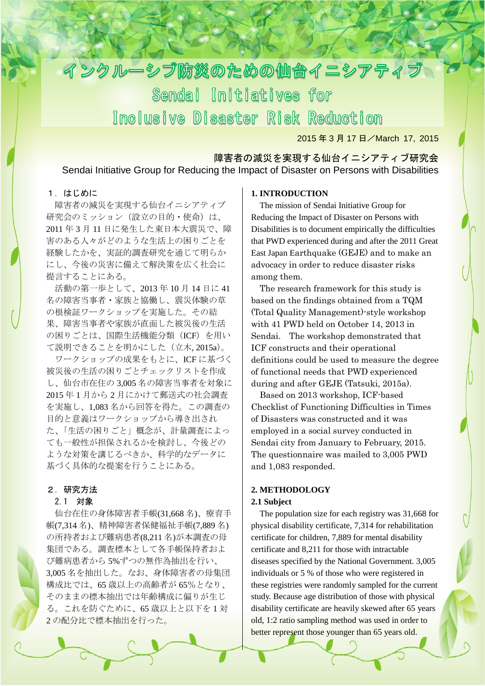

2015年3月17日/March 17, 2015

1

# 障害者の減災を実現する仙台イニシアティブ研究会 Sendai Initiative Group for Reducing the Impact of Disaster on Persons with Disabilities

## 1.はじめに

障害者の減災を実現する仙台イニシアティブ 研究会のミッション (設立の目的・使命) は、 2011 年 3 月 11 日に発生した東日本大震災で、障 害のある人々がどのような生活上の困りごとを 経験したかを、実証的調査研究を通じて明らか にし、今後の災害に備えて解決策を広く社会に 提言することにある。

活動の第一歩として、2013 年 10 月 14 日に 41 名の障害当事者・家族と協働し、震災体験の草 の根検証ワークショップを実施した。その結 果、障害当事者や家族が直面した被災後の生活 の困りごとは、国際生活機能分類 (ICF) を用い て説明できることを明かにした(立木, 2015a)。

ワークショップの成果をもとに、ICF に基づく 被災後の生活の困りごとチェックリストを作成 し、仙台市在住の 3,005 名の障害当事者を対象に 2015 年 1 月から 2 月にかけて郵送式の社会調査 を実施し、1,083 名から回答を得た。この調査の 目的と意義はワークショップから導き出され た、「生活の困りごと」概念が、計量調査によっ ても一般性が担保されるかを検討し、今後どの ような対策を講じるべきか、科学的なデータに 基づく具体的な提案を行うことにある。

#### 2.研究方法

#### 2.1 対象

仙台在住の身体障害者手帳(31,668 名)、療育手 帳(7,314 名)、精神障害者保健福祉手帳(7,889 名) の所持者および難病患者(8,211 名)が本調査の母 集団である。調査標本として各手帳保持者およ び難病患者から 5%ずつの無作為抽出を行い、 3,005 名を抽出した。なお、身体障害者の母集団 構成比では、65 歳以上の高齢者が 65%となり、 そのままの標本抽出では年齢構成に偏りが生じ る。これを防ぐために、65 歳以上と以下を 1 対 2 の配分比で標本抽出を行った。

### **1. INTRODUCTION**

The mission of Sendai Initiative Group for Reducing the Impact of Disaster on Persons with Disabilities is to document empirically the difficulties that PWD experienced during and after the 2011 Great East Japan Earthquake (GEJE) and to make an advocacy in order to reduce disaster risks among them.

The research framework for this study is based on the findings obtained from a TQM (Total Quality Management)-style workshop with 41 PWD held on October 14, 2013 in Sendai. The workshop demonstrated that ICF constructs and their operational definitions could be used to measure the degree of functional needs that PWD experienced during and after GEJE (Tatsuki, 2015a).

Based on 2013 workshop, ICF-based Checklist of Functioning Difficulties in Times of Disasters was constructed and it was employed in a social survey conducted in Sendai city from January to February, 2015. The questionnaire was mailed to 3,005 PWD and 1,083 responded.

## **2. METHODOLOGY 2.1 Subject**

The population size for each registry was 31,668 for physical disability certificate, 7,314 for rehabilitation certificate for children, 7,889 for mental disability certificate and 8,211 for those with intractable diseases specified by the National Government. 3,005 individuals or 5 % of those who were registered in these registries were randomly sampled for the current study. Because age distribution of those with physical disability certificate are heavily skewed after 65 years old, 1:2 ratio sampling method was used in order to better represent those younger than 65 years old.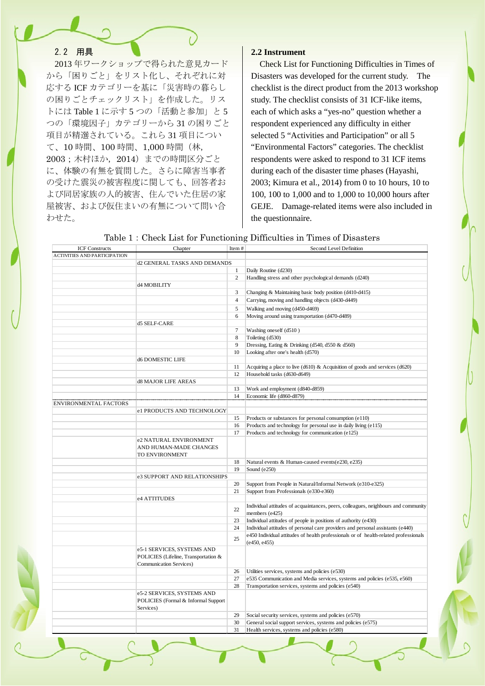## 2.2 用具

2013 年ワークショップで得られた意見カード から「困りごと」をリスト化し、それぞれに対 応する ICF カテゴリーを基に「災害時の暮らし の困りごとチェックリスト」を作成した。リス トには Table 1 に示す 5 つの「活動と参加」と 5 つの「環境因子」カテゴリーから 31 の困りごと 項目が精選されている。これら 31 項目につい て、10 時間、100 時間、1,000 時間(林, 2003;木村ほか,2014)までの時間区分ごと に、体験の有無を質問した。さらに障害当事者 の受けた震災の被害程度に関しても、回答者お よび同居家族の人的被害、住んでいた住居の家 屋被害、および仮住まいの有無について問い合 わせた。

### **2.2 Instrument**

Check List for Functioning Difficulties in Times of Disasters was developed for the current study. The checklist is the direct product from the 2013 workshop study. The checklist consists of 31 ICF-like items, each of which asks a "yes-no" question whether a respondent experienced any difficulty in either selected 5 "Activities and Participation" or all 5 "Environmental Factors" categories. The checklist respondents were asked to respond to 31 ICF items during each of the disaster time phases (Hayashi, 2003; Kimura et al., 2014) from 0 to 10 hours, 10 to 100, 100 to 1,000 and to 1,000 to 10,000 hours after GEJE. Damage-related items were also included in the questionnaire.

| <b>ICF Constructs</b>               | Chapter                              | Item#          | Second Level Definition                                                              |
|-------------------------------------|--------------------------------------|----------------|--------------------------------------------------------------------------------------|
| <b>ACTIVITIES AND PARTICIPATION</b> |                                      |                |                                                                                      |
|                                     | d2 GENERAL TASKS AND DEMANDS         |                |                                                                                      |
|                                     |                                      | $\mathbf{1}$   | Daily Routine (d230)                                                                 |
|                                     |                                      | 2              | Handling stress and other psychological demands (d240)                               |
|                                     | d4 MOBILITY                          |                |                                                                                      |
|                                     |                                      | 3              | Changing & Maintaining basic body position (d410-d415)                               |
|                                     |                                      | $\overline{4}$ | Carrying, moving and handling objects (d430-d449)                                    |
|                                     |                                      | 5              | Walking and moving (d450-d469)                                                       |
|                                     |                                      | 6              | Moving around using transportation (d470-d489)                                       |
|                                     | d5 SELF-CARE                         |                |                                                                                      |
|                                     |                                      | $\tau$         | Washing oneself (d510)                                                               |
|                                     |                                      | 8<br>9         | Toileting (d530)                                                                     |
|                                     |                                      | 10             | Dressing, Eating & Drinking (d540, d550 & d560)<br>Looking after one's health (d570) |
|                                     | <b>d6 DOMESTIC LIFE</b>              |                |                                                                                      |
|                                     |                                      | 11             | Acquiring a place to live $(d610)$ & Acquisition of goods and services $(d620)$      |
|                                     |                                      | 12             | Household tasks (d630-d649)                                                          |
|                                     | d8 MAJOR LIFE AREAS                  |                |                                                                                      |
|                                     |                                      | 13             | Work and employment (d840-d859)                                                      |
|                                     |                                      | 14             | Economic life (d860-d879)                                                            |
| <b>ENVIRONMENTAL FACTORS</b>        |                                      |                |                                                                                      |
|                                     | e1 PRODUCTS AND TECHNOLOGY           |                |                                                                                      |
|                                     |                                      | 15             | Products or substances for personal consumption (e110)                               |
|                                     |                                      | 16             | Products and technology for personal use in daily living (e115)                      |
|                                     |                                      | 17             | Products and technology for communication (e125)                                     |
|                                     | e2 NATURAL ENVIRONMENT               |                |                                                                                      |
|                                     | AND HUMAN-MADE CHANGES               |                |                                                                                      |
|                                     | TO ENVIRONMENT                       |                |                                                                                      |
|                                     |                                      | 18             | Natural events & Human-caused events(e230, e235)                                     |
|                                     |                                      | 19             | Sound (e250)                                                                         |
|                                     | e3 SUPPORT AND RELATIONSHIPS         |                |                                                                                      |
|                                     |                                      | 20             | Support from People in Natural/Informal Network (e310-e325)                          |
|                                     |                                      | 21             | Support from Professionals (e330-e360)                                               |
|                                     | e4 ATTITUDES                         |                |                                                                                      |
|                                     |                                      | 22             | Individual attitudes of acquaintances, peers, colleagues, neighbours and community   |
|                                     |                                      | 23             | members (e425)<br>Individual attitudes of people in positions of authority (e430)    |
|                                     |                                      | 24             | Individual attitudes of personal care providers and personal assistants (e440)       |
|                                     |                                      |                | e450 Individual attitudes of health professionals or of health-related professionals |
|                                     |                                      | 25             | (e450, e455)                                                                         |
|                                     | e5-1 SERVICES, SYSTEMS AND           |                |                                                                                      |
|                                     | POLICIES (Lifeline, Transportation & |                |                                                                                      |
|                                     | Communication Services)              |                |                                                                                      |
|                                     |                                      | 26             | Utilities services, systems and policies (e530)                                      |
|                                     |                                      | 27             | e535 Communication and Media services, systems and policies (e535, e560)             |
|                                     |                                      | 28             | Transportation services, systems and policies (e540)                                 |
|                                     | e5-2 SERVICES, SYSTEMS AND           |                |                                                                                      |
|                                     | POLICIES (Formal & Informal Support  |                |                                                                                      |
|                                     | Services)                            |                |                                                                                      |
|                                     |                                      | 29             | Social security services, systems and policies (e570)                                |
|                                     |                                      | 30             | General social support services, systems and policies (e575)                         |
|                                     |                                      | 31             | Health services, systems and policies (e580)                                         |

Table 1:Check List for Functioning Difficulties in Times of Disasters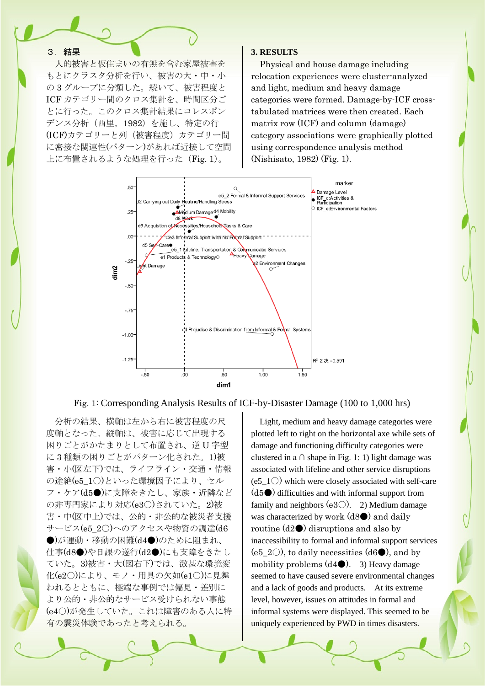### 3.結果

人的被害と仮住まいの有無を含む家屋被害を もとにクラスタ分析を行い、被害の大・中・小 の 3 グループに分類した。続いて、被害程度と ICF カテゴリー間のクロス集計を、時間区分ご とに行った。このクロス集計結果にコレスポン デンス分析(西里,1982)を施し、特定の行 (ICF)カテゴリーと列(被害程度)カテゴリー間 に密接な関連性(パターン)があれば近接して空間 上に布置されるような処理を行った(Fig. 1)。

#### **3. RESULTS**

Physical and house damage including relocation experiences were cluster-analyzed and light, medium and heavy damage categories were formed. Damage-by-ICF crosstabulated matrices were then created. Each matrix row (ICF) and column (damage) category associations were graphically plotted using correspondence analysis method (Nishisato, 1982) (Fig. 1).



Fig. 1: Corresponding Analysis Results of ICF-by-Disaster Damage (100 to 1,000 hrs)

分析の結果、横軸は左から右に被害程度の尺 度軸となった。縦軸は、被害に応じて出現する 困りごとがかたまりとして布置され、逆 U 字型 に 3 種類の困りごとがパターン化された。1)被 害・小(図左下)では、ライフライン・交通・情報 の途絶(e5\_1○)といった環境因子により、セル フ・ケア(d5●)に支障をきたし、家族・近隣など の非専門家により対応(e3○)されていた。2)被 害・中(図中上)では、公的・非公的な被災者支援 サービス(e5\_2○)へのアクセスや物資の調達(d6 ●)が運動・移動の困難(d4●)のために阻まれ、 仕事(d8●)や日課の遂行(d2●)にも支障をきたし ていた。3)被害・大(図右下)では、激甚な環境変 化(e2○)により、モノ・用具の欠如(e1○)に見舞 われるとともに、極端な事例では偏見・差別に より公的・非公的なサービス受けられない事態 (e4○)が発生していた。これは障害のある人に特 有の震災体験であったと考えられる。

Light, medium and heavy damage categories were plotted left to right on the horizontal axe while sets of damage and functioning difficulty categories were clustered in a  $\cap$  shape in Fig. 1: 1) light damage was associated with lifeline and other service disruptions (e5\_1 $\circ$ ) which were closely associated with self-care  $(d5\bullet)$  difficulties and with informal support from family and neighbors (e3 $\bigcirc$ ). 2) Medium damage was characterized by work  $(d8\bullet)$  and daily routine  $(d2\bullet)$  disruptions and also by inaccessibility to formal and informal support services (e5\_2 $\circ$ ), to daily necessities (d6 $\bullet$ ), and by mobility problems  $(d4 \bullet)$ . 3) Heavy damage seemed to have caused severe environmental changes and a lack of goods and products. At its extreme level, however, issues on attitudes in formal and informal systems were displayed. This seemed to be uniquely experienced by PWD in times disasters.